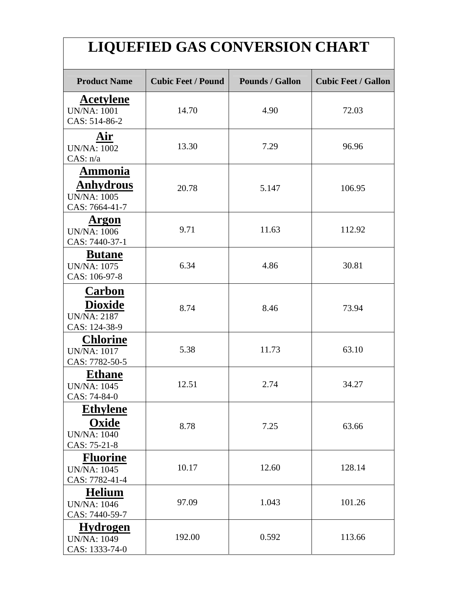## **LIQUEFIED GAS CONVERSION CHART**

| <b>Product Name</b>                                                 | <b>Cubic Feet / Pound</b> | <b>Pounds / Gallon</b> | <b>Cubic Feet / Gallon</b> |  |
|---------------------------------------------------------------------|---------------------------|------------------------|----------------------------|--|
| <b>Acetylene</b><br><b>UN/NA: 1001</b><br>CAS: 514-86-2             | 14.70                     | 4.90                   | 72.03                      |  |
| Air<br><b>UN/NA: 1002</b><br>CAS: n/a                               | 13.30                     | 7.29                   | 96.96                      |  |
| Ammonia<br><b>Anhydrous</b><br><b>UN/NA: 1005</b><br>CAS: 7664-41-7 | 20.78                     | 5.147                  | 106.95                     |  |
| <b>Argon</b><br><b>UN/NA: 1006</b><br>CAS: 7440-37-1                | 9.71                      | 11.63                  | 112.92                     |  |
| <b>Butane</b><br><b>UN/NA: 1075</b><br>CAS: 106-97-8                | 6.34                      | 4.86                   | 30.81                      |  |
| Carbon<br><b>Dioxide</b><br><b>UN/NA: 2187</b><br>CAS: 124-38-9     | 8.74                      | 8.46                   | 73.94                      |  |
| <b>Chlorine</b><br><b>UN/NA: 1017</b><br>CAS: 7782-50-5             | 5.38                      | 11.73                  | 63.10                      |  |
| <b>Ethane</b><br><b>UN/NA: 1045</b><br>CAS: 74-84-0                 | 12.51                     | 2.74                   | 34.27                      |  |
| <b>Ethylene</b><br>Oxide<br><b>UN/NA: 1040</b><br>CAS: 75-21-8      | 8.78                      | 7.25                   | 63.66                      |  |
| <b>Fluorine</b><br><b>UN/NA: 1045</b><br>CAS: 7782-41-4             | 10.17                     | 12.60                  | 128.14                     |  |
| <b>Helium</b><br><b>UN/NA: 1046</b><br>CAS: 7440-59-7               | 97.09                     | 1.043                  | 101.26                     |  |
| <b>Hydrogen</b><br><b>UN/NA: 1049</b><br>CAS: 1333-74-0             | 192.00                    | 0.592                  | 113.66                     |  |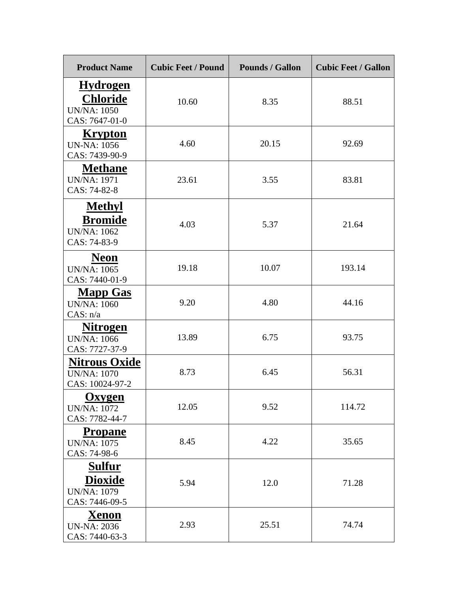| <b>Product Name</b>                                                        | <b>Cubic Feet / Pound</b> | <b>Pounds / Gallon</b> | <b>Cubic Feet / Gallon</b> |  |
|----------------------------------------------------------------------------|---------------------------|------------------------|----------------------------|--|
| <b>Hydrogen</b><br><b>Chloride</b><br><b>UN/NA: 1050</b><br>CAS: 7647-01-0 | 10.60                     | 8.35                   | 88.51                      |  |
| <b>Krypton</b><br><b>UN-NA: 1056</b><br>CAS: 7439-90-9                     | 4.60                      | 20.15                  | 92.69                      |  |
| <b>Methane</b><br><b>UN/NA: 1971</b><br>CAS: 74-82-8                       | 23.61                     | 3.55                   | 83.81                      |  |
| <b>Methyl</b><br><b>Bromide</b><br><b>UN/NA: 1062</b><br>CAS: 74-83-9      | 4.03                      | 5.37                   | 21.64                      |  |
| <b>Neon</b><br><b>UN/NA: 1065</b><br>CAS: 7440-01-9                        | 19.18                     | 10.07                  | 193.14                     |  |
| <b>Mapp Gas</b><br><b>UN/NA: 1060</b><br>CAS: n/a                          | 9.20                      | 4.80                   | 44.16                      |  |
| <b>Nitrogen</b><br><b>UN/NA: 1066</b><br>CAS: 7727-37-9                    | 13.89                     | 6.75                   | 93.75                      |  |
| <b>Nitrous Oxide</b><br><b>UN/NA: 1070</b><br>CAS: 10024-97-2              | 8.73                      | 6.45                   | 56.31                      |  |
| <b>Oxygen</b><br><b>UN/NA: 1072</b><br>CAS: 7782-44-7                      | 12.05                     | 9.52                   | 114.72                     |  |
| <b>Propane</b><br><b>UN/NA: 1075</b><br>CAS: 74-98-6                       | 8.45                      | 4.22                   | 35.65                      |  |
| <b>Sulfur</b><br><b>Dioxide</b><br><b>UN/NA: 1079</b><br>CAS: 7446-09-5    | 5.94                      | 12.0                   | 71.28                      |  |
| <b>Xenon</b><br><b>UN-NA</b> : 2036<br>CAS: 7440-63-3                      | 2.93                      | 25.51                  | 74.74                      |  |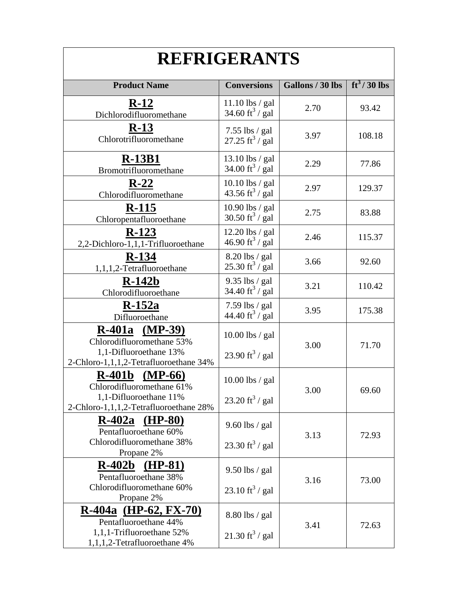| <b>REFRIGERANTS</b>                                                                                                    |                                                  |                  |               |  |  |
|------------------------------------------------------------------------------------------------------------------------|--------------------------------------------------|------------------|---------------|--|--|
| <b>Product Name</b>                                                                                                    | <b>Conversions</b>                               | Gallons / 30 lbs | $ft^3/30$ lbs |  |  |
| $R-12$<br>Dichlorodifluoromethane                                                                                      | 11.10 lbs / gal<br>34.60 ft <sup>3</sup> / gal   | 2.70             | 93.42         |  |  |
| $R-13$<br>Chlorotrifluoromethane                                                                                       | $7.55$ lbs / gal<br>27.25 ft <sup>3</sup> / gal  | 3.97             | 108.18        |  |  |
| <b>R-13B1</b><br>Bromotrifluoromethane                                                                                 | 13.10 lbs / gal<br>34.00 ft $^3$ / gal           | 2.29             | 77.86         |  |  |
| $R-22$<br>Chlorodifluoromethane                                                                                        | 10.10 lbs / gal<br>43.56 ft <sup>3</sup> / gal   | 2.97             | 129.37        |  |  |
| $R-115$<br>Chloropentafluoroethane                                                                                     | 10.90 lbs / gal<br>30.50 ft <sup>3</sup> / gal   | 2.75             | 83.88         |  |  |
| $R-123$<br>2,2-Dichloro-1,1,1-Trifluoroethane                                                                          | $12.20$ lbs / gal<br>46.90 ft <sup>3</sup> / gal | 2.46             | 115.37        |  |  |
| $R-134$<br>1,1,1,2-Tetrafluoroethane                                                                                   | $8.20$ lbs / gal<br>25.30 ft <sup>3</sup> / gal  | 3.66             | 92.60         |  |  |
| $R-142b$<br>Chlorodifluoroethane                                                                                       | 9.35 lbs / gal<br>34.40 ft <sup>3</sup> / gal    | 3.21             | 110.42        |  |  |
| $R-152a$<br>Difluoroethane                                                                                             | 7.59 lbs $/$ gal<br>44.40 ft <sup>3</sup> / gal  | 3.95             | 175.38        |  |  |
| $R-401a$ (MP-39)<br>Chlorodifluoromethane 53%<br>1,1-Difluoroethane 13%<br>2-Chloro-1,1,1,2-Tetrafluoroethane 34%      | 10.00 lbs / gal<br>23.90 ft <sup>3</sup> / gal   | 3.00             | 71.70         |  |  |
| $R-401b$<br>$(MP-66)$<br>Chlorodifluoromethane 61%<br>1,1-Difluoroethane 11%<br>2-Chloro-1,1,1,2-Tetrafluoroethane 28% | 10.00 lbs / gal<br>23.20 ft <sup>3</sup> / gal   | 3.00             | 69.60         |  |  |
| $R-402a$ (HP-80)<br>Pentafluoroethane 60%<br>Chlorodifluoromethane 38%                                                 | $9.60$ lbs / gal<br>23.30 ft <sup>3</sup> / gal  | 3.13             | 72.93         |  |  |
| Propane 2%<br>$R-402b$<br>$(HP-81)$<br>Pentafluoroethane 38%<br>Chlorodifluoromethane 60%<br>Propane 2%                | $9.50$ lbs / gal<br>23.10 ft <sup>3</sup> / gal  | 3.16             | 73.00         |  |  |
| $R-404a$ (HP-62, FX-70)<br>Pentafluoroethane 44%<br>1,1,1-Trifluoroethane 52%<br>1,1,1,2-Tetrafluoroethane 4%          | 8.80 lbs / gal<br>$21.30 \text{ ft}^3$ / gal     | 3.41             | 72.63         |  |  |